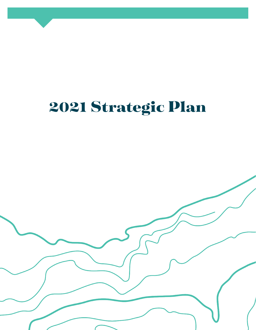# 2021 Strategic Plan

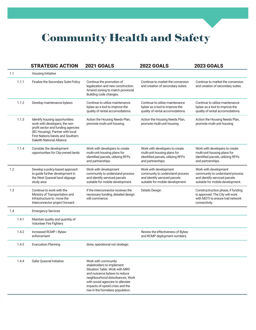## Community Health and Safety

|       | <b>STRATEGIC ACTION</b>                                                                                                                                                                                             | <b>2021 GOALS</b>                                                                                                                                                                                                                                                    | <b>2022 GOALS</b>                                                                                                             | <b>2023 GOALS</b>                                                                                                             |
|-------|---------------------------------------------------------------------------------------------------------------------------------------------------------------------------------------------------------------------|----------------------------------------------------------------------------------------------------------------------------------------------------------------------------------------------------------------------------------------------------------------------|-------------------------------------------------------------------------------------------------------------------------------|-------------------------------------------------------------------------------------------------------------------------------|
| 1.1   | Housing Initiative                                                                                                                                                                                                  |                                                                                                                                                                                                                                                                      |                                                                                                                               |                                                                                                                               |
| 1.1.1 | Finalize the Secondary Suite Policy                                                                                                                                                                                 | Continue the promotion of<br>legalization and new construction.<br>Amend zoning to match provincial<br>Building code changes.                                                                                                                                        | Continue to market the conversion<br>and creation of secondary suites.                                                        | Continue to market the conversion<br>and creation of secondary suites.                                                        |
| 1.1.2 | Develop maintenance bylaws                                                                                                                                                                                          | Continue to utilize maintenance<br>bylaw as a tool to improve the<br>quality of rental accomodations.                                                                                                                                                                | Continue to utilize maintenance<br>bylaw as a tool to improve the<br>quality of rental accomodations.                         | Continue to utilize maintenance<br>bylaw as a tool to improve the<br>quality of rental accomodations.                         |
| 1.1.3 | Identify housing opportunities:<br>work with developers, the non-<br>profit sector and funding agencies<br>(BC Housing). Partner with local<br>First Nations bands and Southern<br><b>Dakelth National Alliance</b> | Action the Housing Needs Plan,<br>promote multi-unit housing.                                                                                                                                                                                                        | Action the Housing Needs Plan,<br>promote multi-unit housing.                                                                 | Action the Housing Needs Plan,<br>promote multi-unit housing.                                                                 |
| 1.1.4 | Consider the development<br>opportunities for City-owned lands                                                                                                                                                      | Work with developers to create<br>multi-unit housing plans for<br>identified parcels, utilizing RFPs<br>and partnerships.                                                                                                                                            | Work with developers to create<br>multi-unit housing plans for<br>identified parcels, utilizing RFPs<br>and partnerships.     | Work with developers to create<br>multi-unit housing plans for<br>identified parcels, utilizing RFPs<br>and partnerships.     |
| 1.2   | Develop a policy-based approach<br>to guide further development in<br>the West Quesnel land slippage<br>study area                                                                                                  | Work with development<br>community to understand process<br>and identify serviced parcels<br>suitable for mobile development.                                                                                                                                        | Work with development<br>community to understand process<br>and identify serviced parcels<br>suitable for mobile development. | Work with development<br>community to understand process<br>and identify serviced parcels<br>suitable for mobile development. |
| 1.3   | Continue to work with the<br>Ministry of Transportation and<br>Infrastructure to move the<br>Interconnector project forward                                                                                         | If the interconnector receives the<br>necessary funding, detailed design<br>will commence.                                                                                                                                                                           | Details Design.                                                                                                               | Constructruction phase, if funding<br>is approved. The City will work<br>with MOTI to ensure trail network<br>connectivity.   |
| 1.4   | <b>Emergency Services</b>                                                                                                                                                                                           |                                                                                                                                                                                                                                                                      |                                                                                                                               |                                                                                                                               |
| 1.4.1 | Maintain quality and quantity of<br><b>Volunteer Fire Fighters</b>                                                                                                                                                  |                                                                                                                                                                                                                                                                      |                                                                                                                               |                                                                                                                               |
| 1.4.2 | Increased RCMP / Bylaw<br>enforcement                                                                                                                                                                               |                                                                                                                                                                                                                                                                      | Review the effectiveness of Bylaw<br>and RCMP deployment numbers.                                                             |                                                                                                                               |
| 1.4.3 | <b>Evacuation Planning</b>                                                                                                                                                                                          | done, operational not strategic.                                                                                                                                                                                                                                     |                                                                                                                               |                                                                                                                               |
| 1.4.4 | Safer Quesnel Initiative                                                                                                                                                                                            | Work with community<br>stakeholders to implement<br>Situation Table. Work with MRS<br>and nuisance bylaws to reduce<br>neighbourhood disturbances. Work<br>with social agencies to alleviate<br>impacts of opioid crisis and the<br>rise in the homeless population. |                                                                                                                               |                                                                                                                               |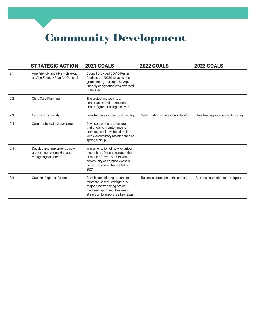Community Development

|     | <b>STRATEGIC ACTION</b>                                                             | <b>2021 GOALS</b>                                                                                                                                                                      | <b>2022 GOALS</b>                     | <b>2023 GOALS</b>                     |
|-----|-------------------------------------------------------------------------------------|----------------------------------------------------------------------------------------------------------------------------------------------------------------------------------------|---------------------------------------|---------------------------------------|
| 2.1 | Age-Friendly Initiative - develop<br>an Age-Friendly Plan for Quesnel               | Council provided COVID Restart<br>funds to the NCSC to assist the<br>group during start-up. The Age<br>Friendly designation was awarded<br>to the City.                                |                                       |                                       |
| 2.2 | <b>Child Care Planning</b>                                                          | The project moves into a<br>construction and operational<br>phase if grant funding received.                                                                                           |                                       |                                       |
| 2.3 | <b>Gymnastics Facility</b>                                                          | Seek funding sources, build facility.                                                                                                                                                  | Seek funding sources, build facility. | Seek funding sources, build facility. |
| 2.4 | Community trails development                                                        | Develop a process to ensure<br>that ongoing maintenance is<br>provided to all developed trails,<br>with extraordinary maintenance at<br>spring startup.                                |                                       |                                       |
| 2.5 | Develop and Implement a new<br>process for recognizing and<br>energizing volunteers | Implementation of new volunteer<br>recognition. Depending upon the<br>duration of the COVID-19 virus, a<br>community celebration event is<br>being considered for the fall of<br>2021. |                                       |                                       |
| 2.6 | Quesnel Regional Airport                                                            | Staff is considering options to<br>reinstate Scheduled flights. A<br>major runway paving project<br>has been approved. Business<br>attraction to airport is a key issue.               | Business attraction to the airport.   | Business attraction to the airport.   |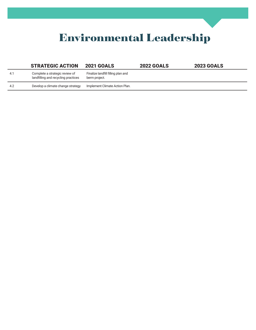## Environmental Leadership

|      | <b>STRATEGIC ACTION</b>                                               | <b>2021 GOALS</b>                                   | <b>2022 GOALS</b> | <b>2023 GOALS</b> |
|------|-----------------------------------------------------------------------|-----------------------------------------------------|-------------------|-------------------|
| -4.1 | Complete a strategic review of<br>landfilling and recycling practices | Finalize landfill filling plan and<br>berm project. |                   |                   |
| 4.2  | Develop a climate change strategy                                     | Implement Climate Action Plan.                      |                   |                   |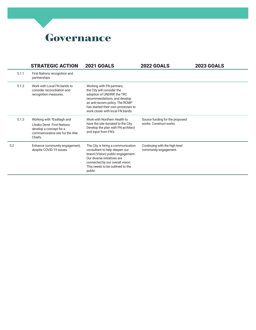#### Governance

|       | <b>STRATEGIC ACTION</b>                                                                                                         | <b>2021 GOALS</b>                                                                                                                                                                                                                   | <b>2022 GOALS</b>                                          | <b>2023 GOALS</b> |
|-------|---------------------------------------------------------------------------------------------------------------------------------|-------------------------------------------------------------------------------------------------------------------------------------------------------------------------------------------------------------------------------------|------------------------------------------------------------|-------------------|
| 5.1.1 | First Nations recognition and<br>partnerships                                                                                   |                                                                                                                                                                                                                                     |                                                            |                   |
| 5.1.2 | Work with Local FN bands to<br>consider reconciliation and<br>recognition measures.                                             | Working with FN partners,<br>the City will consider the<br>adoption of UNDRIP, the TRC<br>recommendations, and develop<br>an anti-racism policy. The RCMP<br>has started their own processes to<br>work closer with local FN bands. |                                                            |                   |
| 5.1.3 | Working with ?Esdilagh and<br>Lhtako Dené First Nations<br>develop a concept for a<br>commemorative site for the War<br>Chiefs. | Work with Northern Health to<br>have the site donated to the City.<br>Develop the plan with FN architect<br>and input from FN's.                                                                                                    | Source funding for the proposed<br>works. Construct works. |                   |
| 5.2   | Enhance community engagement,<br>despite COVID-19 issues.                                                                       | The City is hiring a communication<br>consultant to help deepen our<br>brand (Vision) public engagement.<br>Our diverse initiatives are<br>connected by our overall vision.<br>This needs to be outlined to the<br>public.          | Continuing with the high level<br>community engagement.    |                   |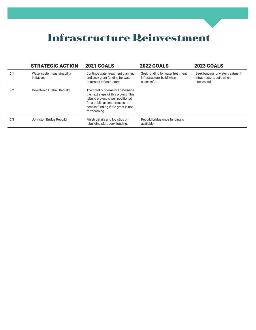#### Infrastructure Reinvestment

|     | <b>STRATEGIC ACTION</b>                    | <b>2021 GOALS</b>                                                                                                                                                                                      | <b>2022 GOALS</b>                                                             | <b>2023 GOALS</b>                                                             |
|-----|--------------------------------------------|--------------------------------------------------------------------------------------------------------------------------------------------------------------------------------------------------------|-------------------------------------------------------------------------------|-------------------------------------------------------------------------------|
| 6.1 | Water system sustainability<br>initiatives | Continue water treatment planning<br>and seek grant funding for water<br>treatment infrastructure.                                                                                                     | Seek funding for water treatment<br>infrastructure, build when<br>successful. | Seek funding for water treatment<br>infrastructure, build when<br>successful. |
| 6.2 | Downtown Firehall Rebuild                  | The grant outcome will determine<br>the next steps of this project. This<br>rebuild project is well positioned<br>for a public assent process to<br>access funding if the grant is not<br>forthcoming. |                                                                               |                                                                               |
| 6.3 | Johnston Bridge Rebuild                    | Finish details and logistics of<br>rebuilding plan, seek funding.                                                                                                                                      | Rebuild bridge once funding is<br>available.                                  |                                                                               |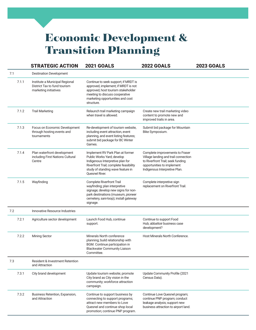### Economic Development & Transition Planning

|       |       | <b>STRATEGIC ACTION</b>                                                                 | <b>2021 GOALS</b>                                                                                                                                                                                          | <b>2022 GOALS</b>                                                                                                                                                           | <b>2023 GOALS</b> |
|-------|-------|-----------------------------------------------------------------------------------------|------------------------------------------------------------------------------------------------------------------------------------------------------------------------------------------------------------|-----------------------------------------------------------------------------------------------------------------------------------------------------------------------------|-------------------|
| 7.1   |       | <b>Destination Development</b>                                                          |                                                                                                                                                                                                            |                                                                                                                                                                             |                   |
|       | 7.1.1 | Institute a Municipal Regional<br>District Tax to fund tourism<br>marketing initiatives | Continue to seek support; if MRDT is<br>approved, implement; if MRDT is not<br>approved, host tourism stakeholder<br>meeting to discuss cooperative<br>marketing opportunities and cost<br>structure.      |                                                                                                                                                                             |                   |
|       | 7.1.2 | <b>Trail Marketing</b>                                                                  | Relaunch trail marketing campaign<br>when travel is allowed.                                                                                                                                               | Create new trail marketing video<br>content to promote new and<br>improved trails in area.                                                                                  |                   |
|       | 7.1.3 | Focus on Economic Development<br>through hosting events and<br>tournaments              | Re-development of tourism website,<br>including event attraction, event<br>planning, and event listing features;<br>submit bid package for BC Winter<br>Games.                                             | Submit bid package for Mountain<br>Bike Symposium.                                                                                                                          |                   |
|       | 7.1.4 | Plan waterfront development<br>including First Nations Cultural<br>Centre               | Implement RV Park Plan at former<br>Public Works Yard; develop<br>Indigenous Interpretive plan for<br>Riverfront Trail; complete feasibility<br>study of standing wave feature in<br><b>Ouesnel River.</b> | Complete improvements to Fraser<br>Village landing and trail connection<br>to Riverfront Trail; seek funding<br>opportunities to implement<br>Indigenous Interpretive Plan. |                   |
|       | 7.1.5 | Wayfinding                                                                              | <b>Complete Riverfront Trail</b><br>wayfinding; plan interpretive<br>signage; develop new signs for non-<br>park destinations (museum, pioneer<br>cemetery, sani-loop); install gateway<br>signage.        | Complete interpretive sign<br>replacement on Riverfront Trail.                                                                                                              |                   |
| 7.2   |       | Innovative Resource Industries                                                          |                                                                                                                                                                                                            |                                                                                                                                                                             |                   |
|       | 7.2.1 | Agriculture sector development                                                          | Launch Food Hub, continue<br>support.                                                                                                                                                                      | Continue to support Food<br>Hub; abbattoir business case<br>development?                                                                                                    |                   |
| 7.2.2 |       | <b>Mining Sector</b>                                                                    | Minerals North conference<br>planning; build relationship with<br>BGM. Continue participation in<br><b>Blackwater Community Liaison</b><br>Committee.                                                      | Host Minerals North Conference.                                                                                                                                             |                   |
| 7.3   |       | <b>Resident &amp; Investment Retention</b><br>and Attraction                            |                                                                                                                                                                                                            |                                                                                                                                                                             |                   |
|       | 7.3.1 | City brand development                                                                  | Update tourism website; promote<br>City brand as City vision in the<br>community; workforce attraction<br>campaign.                                                                                        | Update Community Profile (2021<br>Census Data).                                                                                                                             |                   |
|       | 7.3.2 | Business Retention, Expansion,<br>and Attraction                                        | Continue to support business by<br>connecting to support programs;<br>attract new members to Love<br>Quesnel and continue shop local<br>promotion; continue PNP program.                                   | Continue Love Quesnel program;<br>continue PNP program; conduct<br>leakage analysis; support new<br>business attraction to airport land.                                    |                   |